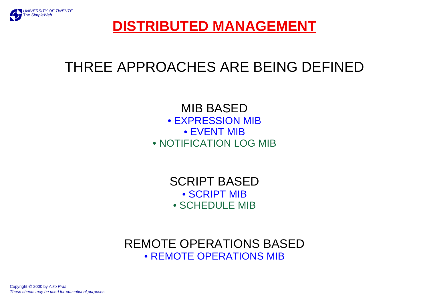

# **DISTRIBUTED MANAGEMENT**

# THREE APPROACHES ARE BEING DEFINED

MIB BASED• EXPRESSION MIB • EVENT MIB• NOTIFICATION LOG MIB

> SCRIPT BASED• SCRIPT MIB • SCHEDULE MIB

REMOTE OPERATIONS BASED• REMOTE OPERATIONS MIB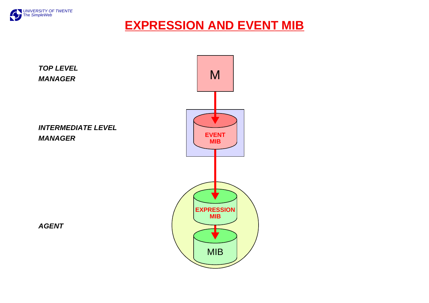

### **EXPRESSION AND EVENT MIB**

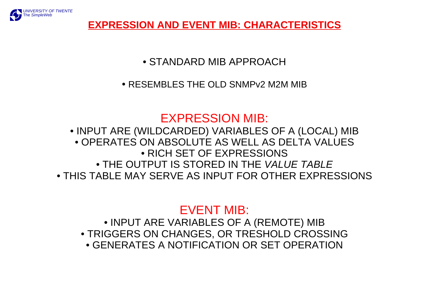

#### **EXPRESSION AND EVENT MIB: CHARACTERISTICS**

• STANDARD MIB APPROACH

• RESEMBLES THE OLD SNMPv2 M2M MIB

### EXPRESSION MIB:

• INPUT ARE (WILDCARDED) VARIABLES OF A (LOCAL) MIB • OPERATES ON ABSOLUTE AS WELL AS DELTA VALUES• RICH SET OF EXPRESSIONS• THE OUTPUT IS STORED IN THE VALUE TABLE • THIS TABLE MAY SERVE AS INPUT FOR OTHER EXPRESSIONS

# EVENT MIB:

• INPUT ARE VARIABLES OF A (REMOTE) MIB • TRIGGERS ON CHANGES, OR TRESHOLD CROSSING • GENERATES A NOTIFICATION OR SET OPERATION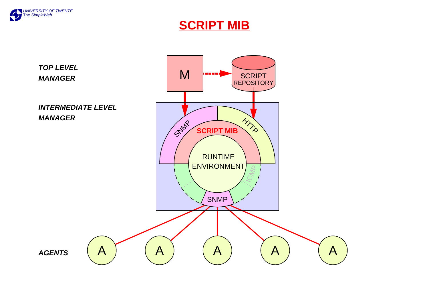

#### **SCRIPT MIB**

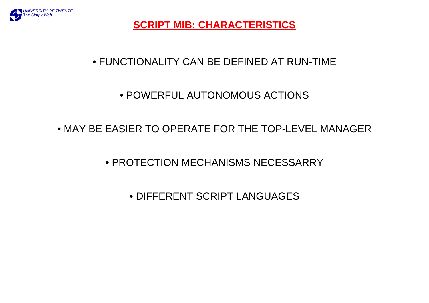

**SCRIPT MIB: CHARACTERISTICS**

#### • FUNCTIONALITY CAN BE DEFINED AT RUN-TIME

#### • POWERFUL AUTONOMOUS ACTIONS

#### • MAY BE EASIER TO OPERATE FOR THE TOP-LEVEL MANAGER

• PROTECTION MECHANISMS NECESSARRY

• DIFFERENT SCRIPT LANGUAGES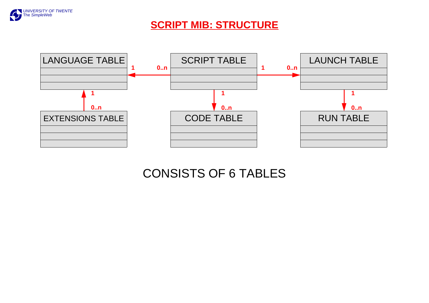

#### **SCRIPT MIB: STRUCTURE**



# CONSISTS OF 6 TABLES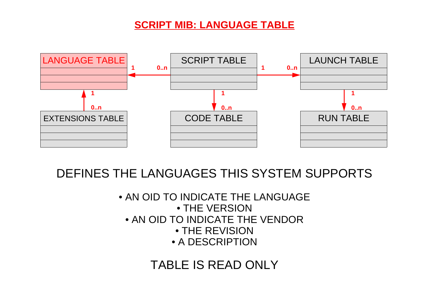#### **SCRIPT MIB: LANGUAGE TABLE**



### DEFINES THE LANGUAGES THIS SYSTEM SUPPORTS

• AN OID TO INDICATE THE LANGUAGE • THE VERSION• AN OID TO INDICATE THE VENDOR• THE REVISION • A DESCRIPTION

### TABLE IS READ ONLY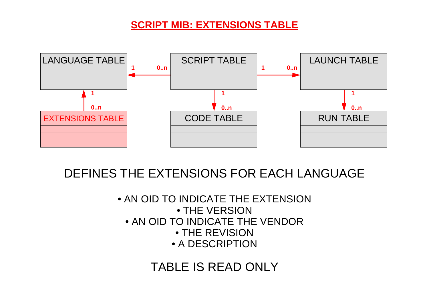#### **SCRIPT MIB: EXTENSIONS TABLE**



# DEFINES THE EXTENSIONS FOR EACH LANGUAGE

• AN OID TO INDICATE THE EXTENSION• THE VERSION• AN OID TO INDICATE THE VENDOR • THE REVISION• A DESCRIPTION

### TABLE IS READ ONLY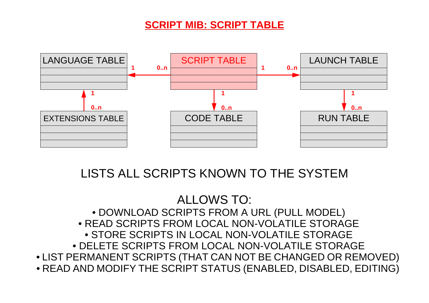#### **SCRIPT MIB: SCRIPT TABLE**



### LISTS ALL SCRIPTS KNOWN TO THE SYSTEM

#### ALLOWS TO: • DOWNLOAD SCRIPTS FROM A URL (PULL MODEL) • READ SCRIPTS FROM LOCAL NON-VOLATILE STORAGE • STORE SCRIPTS IN LOCAL NON-VOLATILE STORAGE • DELETE SCRIPTS FROM LOCAL NON-VOLATILE STORAGE • LIST PERMANENT SCRIPTS (THAT CAN NOT BE CHANGED OR REMOVED) • READ AND MODIFY THE SCRIPT STATUS (ENABLED, DISABLED, EDITING)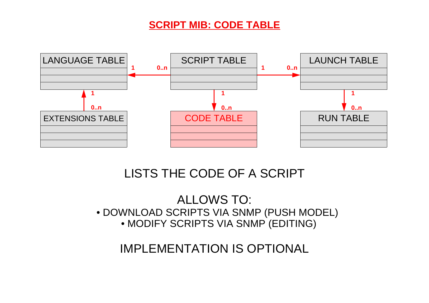#### **SCRIPT MIB: CODE TABLE**



### LISTS THE CODE OF A SCRIPT

ALLOWS TO: • DOWNLOAD SCRIPTS VIA SNMP (PUSH MODEL) • MODIFY SCRIPTS VIA SNMP (EDITING)

IMPLEMENTATION IS OPTIONAL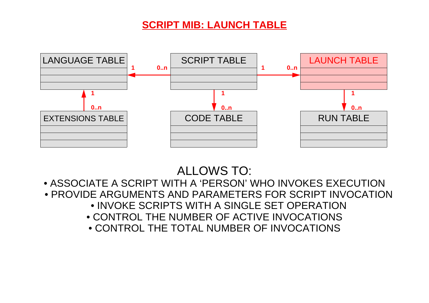#### **SCRIPT MIB: LAUNCH TABLE**



# ALLOWS TO:

• ASSOCIATE A SCRIPT WITH A 'PERSON' WHO INVOKES EXECUTION • PROVIDE ARGUMENTS AND PARAMETERS FOR SCRIPT INVOCATION • INVOKE SCRIPTS WITH A SINGLE SET OPERATION• CONTROL THE NUMBER OF ACTIVE INVOCATIONS • CONTROL THE TOTAL NUMBER OF INVOCATIONS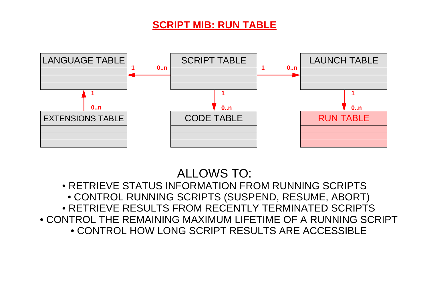#### **SCRIPT MIB: RUN TABLE**



# ALLOWS TO:

• RETRIEVE STATUS INFORMATION FROM RUNNING SCRIPTS • CONTROL RUNNING SCRIPTS (SUSPEND, RESUME, ABORT) • RETRIEVE RESULTS FROM RECENTLY TERMINATED SCRIPTS • CONTROL THE REMAINING MAXIMUM LIFETIME OF A RUNNING SCRIPT• CONTROL HOW LONG SCRIPT RESULTS ARE ACCESSIBLE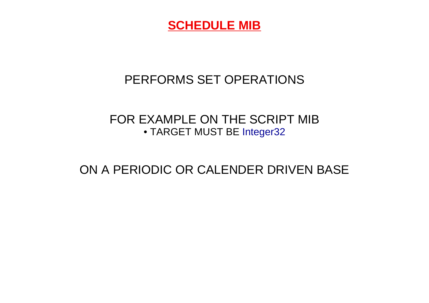

# PERFORMS SET OPERATIONS

#### FOR EXAMPLE ON THE SCRIPT MIB • TARGET MUST BE Integer32

### ON A PERIODIC OR CALENDER DRIVEN BASE